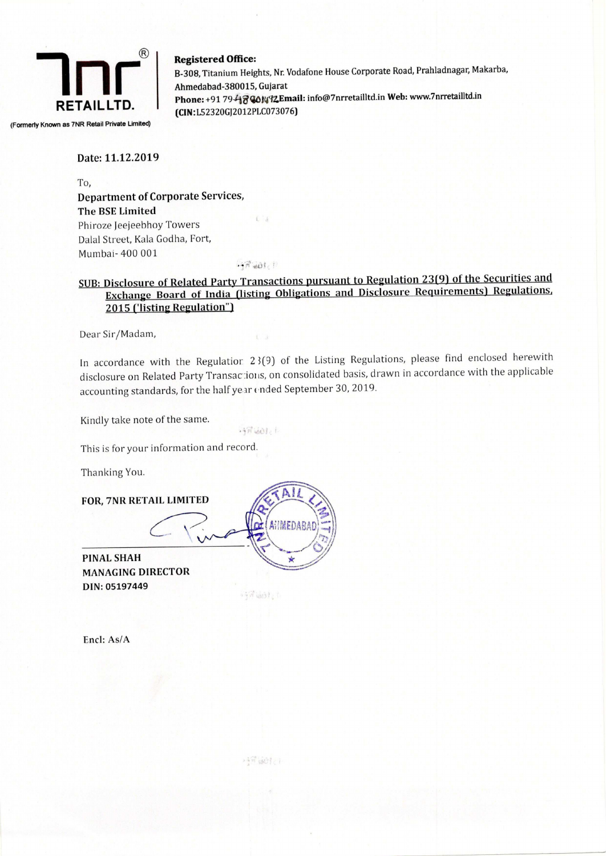

(Formerly Known as 7NR Retail Private Limited)

### $\begin{array}{c} \circledR \end{array}$  Registered Office:

B-308, Titanium Heights, Nr. Vodafone House Corporate Road, Prahladnagar, Makarba, Ahmedabad-380015, Gujarat Phone: +91 79-43 @01492 Email: info@7 nrretailltd.in Web: www.7nrretailltd.in (CIN:L52320GJ2012PLC073076)

#### Date: 11.12.2019

To, Department of Corporate Services, The BSE Limited Phiroze Jeejeebhoy Towers Dalal Street, Kala Godha, Fort, Mumbai- 400 001  $irr$  and  $r$ 

#### SUB: Disclosure of Related Party Transactions pursuant to Regulation 23(9) of the Securities and Exchange Board of India (listing Obligations and Disclosure Requirements) Regulations, 2015 ('listing Regulation")

Dear Sir/Madam,

In accordance with the Regulatior 23(9) of the Listing Regulations, please find enclosed herewith disclosure on Related Party Transactions, on consolidated basis, drawn in accordance with the applicable accounting standards, for the half year ended September 30, 2019.

Kindly take note of the same.

This is for your information and record. accounting standar<br>Kindly take note of<br>This is for your inf<br>Thanking You.<br>FOR, 7NR RETAIL

Thanking You.

FOR, 7NR RETAIL LIMITED

 $\subset$ 

PINAL SHAH<br>MANAGING DIRECTOR DIN: 05197449

**AHMEDABA** PINAL SHAH  $\frac{1}{\sqrt{2}}$ 

**SPUDI** 

 $-57.601c$ 

Encl; As/A